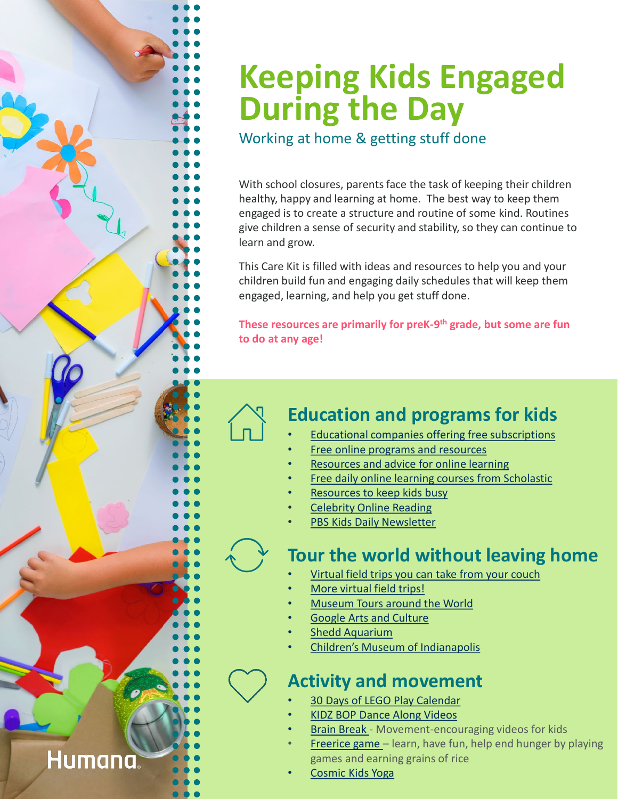# **Keeping Kids Engaged During the Day**

Working at home & getting stuff done

With school closures, parents face the task of keeping their children healthy, happy and learning at home. The best way to keep them engaged is to create a structure and routine of some kind. Routines give children a sense of security and stability, so they can continue to learn and grow.

This Care Kit is filled with ideas and resources to help you and your children build fun and engaging daily schedules that will keep them engaged, learning, and help you get stuff done.

**These resources are primarily for preK-9th grade, but some are fun to do at any age!**

# **Education and programs for kids**

- **[Educational companies offering free subscriptions](https://kidsactivitiesblog.com/135609/list-of-education-companies-offering-free-subscriptions/)**
- [Free online programs and resources](https://www.usatoday.com/story/tech/reviewedcom/2020/03/18/free-educational-classes-and-programs-kids-home/5064311002/)
- [Resources and advice for online learning](https://www.commonsensemedia.org/about-us/news/press-releases/common-sense-provides-resources-for-parents-to-prepare-for-coronavirus?mod=article_inline)
- [Free daily online learning courses from Scholastic](https://classroommagazines.scholastic.com/support/learnathome.html)
- [Resources to keep kids busy](https://blog.himama.com/online-resources-to-keep-kids-busy-while-working-from-home/)
- [Celebrity Online Reading](https://twitter.com/hashtag/SaveWithStories?src=hashtag_click)
- [PBS Kids Daily Newsletter](https://nam03.safelinks.protection.outlook.com/?url=http://public.pbs.org/PBSKIDSDaily&data=02|01|edegooyer@humana.com|daa0543bf38a48af9ff908d7d02ffad1|56c62bbe85984b859e511ca753fa50f2|1|0|637206776796149156&sdata=nDjJMwtXosCDSdx/sRoLwk6Ot2AIEPmBE%2BZo4buPKyk%3D&reserved=0)

## **Tour the world without leaving home**

- [Virtual field trips you can take from your couch](https://kidsactivitiesblog.com/135714/virtual-field-trips/)
- [More virtual field trips!](https://theeducatorsspinonit.com/virtual-field-trips-for-kids)
- [Museum Tours around the World](https://www.travelandleisure.com/attractions/museums-galleries/museums-with-virtual-tours)
- **[Google Arts and Culture](https://artsandculture.google.com/category/place)**
- **Shedd [Aquarium](https://twitter.com/shedd_aquarium)**
- [Children's Museum of Indianapolis](https://www.facebook.com/childrensmuseum/)

## **Activity and movement**

- [30 Days of LEGO Play Calendar](https://thatbricklife.com/wp-content/uploads/2020/03/LEGO30daysofplay.pdf)
- [KIDZ BOP Dance Along Videos](https://www.youtube.com/playlist?list=PLMr-d2PLsO95ydptpBnsxdQNSKc9iUNU0)
- [Brain Break](https://www.popsugar.com/family/photo-gallery/47316017/embed/47316126/embed)  Movement-encouraging videos for kids
- [Freerice](https://play.google.com/store/apps/details?id=com.freerice.android&hl=en_US) game learn, have fun, help end hunger by playing games and earning grains of rice
- [Cosmic Kids Yoga](https://www.youtube.com/channel/UC5uIZ2KOZZeQDQo_Gsi_qbQ)

**Humana**